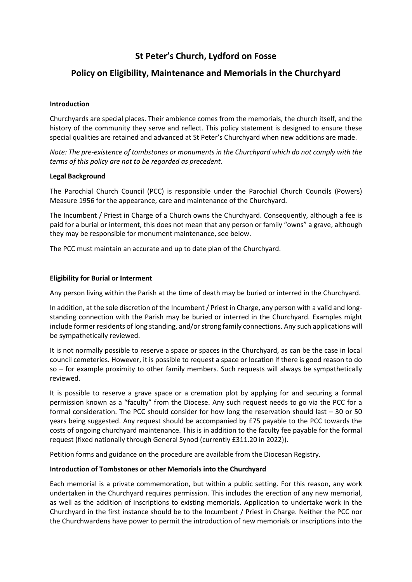# **St Peter's Church, Lydford on Fosse**

## **Policy on Eligibility, Maintenance and Memorials in the Churchyard**

#### **Introduction**

Churchyards are special places. Their ambience comes from the memorials, the church itself, and the history of the community they serve and reflect. This policy statement is designed to ensure these special qualities are retained and advanced at St Peter's Churchyard when new additions are made.

*Note: The pre-existence of tombstones or monuments in the Churchyard which do not comply with the terms of this policy are not to be regarded as precedent.*

#### **Legal Background**

The Parochial Church Council (PCC) is responsible under the Parochial Church Councils (Powers) Measure 1956 for the appearance, care and maintenance of the Churchyard.

The Incumbent / Priest in Charge of a Church owns the Churchyard. Consequently, although a fee is paid for a burial or interment, this does not mean that any person or family "owns" a grave, although they may be responsible for monument maintenance, see below.

The PCC must maintain an accurate and up to date plan of the Churchyard.

### **Eligibility for Burial or Interment**

Any person living within the Parish at the time of death may be buried or interred in the Churchyard.

In addition, at the sole discretion of the Incumbent/ Priest in Charge, any person with a valid and longstanding connection with the Parish may be buried or interred in the Churchyard. Examples might include former residents of long standing, and/or strong family connections. Any such applications will be sympathetically reviewed.

It is not normally possible to reserve a space or spaces in the Churchyard, as can be the case in local council cemeteries. However, it is possible to request a space or location if there is good reason to do so – for example proximity to other family members. Such requests will always be sympathetically reviewed.

It is possible to reserve a grave space or a cremation plot by applying for and securing a formal permission known as a "faculty" from the Diocese. Any such request needs to go via the PCC for a formal consideration. The PCC should consider for how long the reservation should last – 30 or 50 years being suggested. Any request should be accompanied by £75 payable to the PCC towards the costs of ongoing churchyard maintenance. This is in addition to the faculty fee payable for the formal request (fixed nationally through General Synod (currently £311.20 in 2022)).

Petition forms and guidance on the procedure are available from the Diocesan Registry.

#### **Introduction of Tombstones or other Memorials into the Churchyard**

Each memorial is a private commemoration, but within a public setting. For this reason, any work undertaken in the Churchyard requires permission. This includes the erection of any new memorial, as well as the addition of inscriptions to existing memorials. Application to undertake work in the Churchyard in the first instance should be to the Incumbent / Priest in Charge. Neither the PCC nor the Churchwardens have power to permit the introduction of new memorials or inscriptions into the